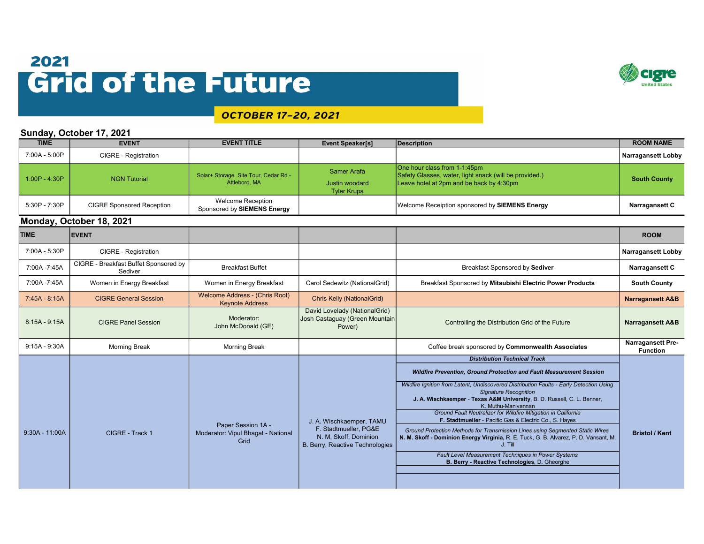## 2021 **Grid of the Future**



## **OCTOBER 17-20, 2021**

## Sunday, October 17, 2021

| <b>TIME</b>     | <b>EVENT</b>                                     | <b>EVENT TITLE</b>                                               | <b>Event Speaker[s]</b>                                                           | <b>Description</b>                                                                                                                                                                                                                                                                                                                                    | <b>ROOM NAME</b>                            |
|-----------------|--------------------------------------------------|------------------------------------------------------------------|-----------------------------------------------------------------------------------|-------------------------------------------------------------------------------------------------------------------------------------------------------------------------------------------------------------------------------------------------------------------------------------------------------------------------------------------------------|---------------------------------------------|
| 7:00A - 5:00P   | CIGRE - Registration                             |                                                                  |                                                                                   |                                                                                                                                                                                                                                                                                                                                                       | <b>Narragansett Lobby</b>                   |
| $1:00P - 4:30P$ | <b>NGN Tutorial</b>                              | Solar+ Storage Site Tour, Cedar Rd -<br>Attleboro, MA            | Samer Arafa<br><b>Justin woodard</b><br><b>Tyler Krupa</b>                        | One hour class from 1-1:45pm<br>Safety Glasses, water, light snack (will be provided.)<br>Leave hotel at 2pm and be back by 4:30pm                                                                                                                                                                                                                    | <b>South County</b>                         |
| 5:30P - 7:30P   | <b>CIGRE Sponsored Reception</b>                 | <b>Welcome Reception</b><br>Sponsored by SIEMENS Energy          |                                                                                   | Welcome Receiption sponsored by SIEMENS Energy                                                                                                                                                                                                                                                                                                        | Narragansett C                              |
|                 | Monday, October 18, 2021                         |                                                                  |                                                                                   |                                                                                                                                                                                                                                                                                                                                                       |                                             |
| <b>TIME</b>     | <b>EVENT</b>                                     |                                                                  |                                                                                   |                                                                                                                                                                                                                                                                                                                                                       | <b>ROOM</b>                                 |
| 7:00A - 5:30P   | <b>CIGRE - Registration</b>                      |                                                                  |                                                                                   |                                                                                                                                                                                                                                                                                                                                                       | <b>Narragansett Lobby</b>                   |
| 7:00A -7:45A    | CIGRE - Breakfast Buffet Sponsored by<br>Sediver | <b>Breakfast Buffet</b>                                          |                                                                                   | Breakfast Sponsored by Sediver                                                                                                                                                                                                                                                                                                                        | Narragansett C                              |
| 7:00A -7:45A    | Women in Energy Breakfast                        | Women in Energy Breakfast                                        | Carol Sedewitz (NationalGrid)                                                     | Breakfast Sponsored by Mitsubishi Electric Power Products                                                                                                                                                                                                                                                                                             | <b>South County</b>                         |
| 7:45A - 8:15A   | <b>CIGRE General Session</b>                     | <b>Welcome Address - (Chris Root)</b><br><b>Keynote Address</b>  | <b>Chris Kelly (NationalGrid)</b>                                                 |                                                                                                                                                                                                                                                                                                                                                       | <b>Narragansett A&amp;B</b>                 |
| $8:15A - 9:15A$ | <b>CIGRE Panel Session</b>                       | Moderator:<br>John McDonald (GE)                                 | David Lovelady (NationalGrid)<br>Josh Castaguay (Green Mountain<br>Power)         | Controlling the Distribution Grid of the Future                                                                                                                                                                                                                                                                                                       | <b>Narragansett A&amp;B</b>                 |
| $9:15A - 9:30A$ | <b>Morning Break</b>                             | <b>Morning Break</b>                                             |                                                                                   | Coffee break sponsored by Commonwealth Associates                                                                                                                                                                                                                                                                                                     | <b>Narragansett Pre-</b><br><b>Function</b> |
|                 |                                                  |                                                                  |                                                                                   | <b>Distribution Technical Track</b>                                                                                                                                                                                                                                                                                                                   |                                             |
|                 |                                                  |                                                                  |                                                                                   | Wildfire Prevention, Ground Protection and Fault Measurement Session                                                                                                                                                                                                                                                                                  |                                             |
|                 |                                                  |                                                                  | J. A. Wischkaemper, TAMU                                                          | Wildfire Ignition from Latent, Undiscovered Distribution Faults - Early Detection Using<br><b>Signature Recognition</b><br>J. A. Wischkaemper - Texas A&M University, B. D. Russell, C. L. Benner,<br>K. Muthu-Manivannan<br>Ground Fault Neutralizer for Wildfire Mitigation in California<br>F. Stadtmueller - Pacific Gas & Electric Co., S. Hayes |                                             |
| 9:30A - 11:00A  | CIGRE - Track 1                                  | Paper Session 1A -<br>Moderator: Vipul Bhagat - National<br>Grid | F. Stadtmueller, PG&E<br>N. M. Skoff, Dominion<br>B. Berry, Reactive Technologies | Ground Protection Methods for Transmission Lines using Segmented Static Wires<br>N. M. Skoff - Dominion Energy Virginia, R. E. Tuck, G. B. Alvarez, P. D. Vansant, M.<br>J. Till<br>Fault Level Measurement Techniques in Power Systems                                                                                                               | <b>Bristol / Kent</b>                       |
|                 |                                                  |                                                                  |                                                                                   | B. Berry - Reactive Technologies, D. Gheorghe                                                                                                                                                                                                                                                                                                         |                                             |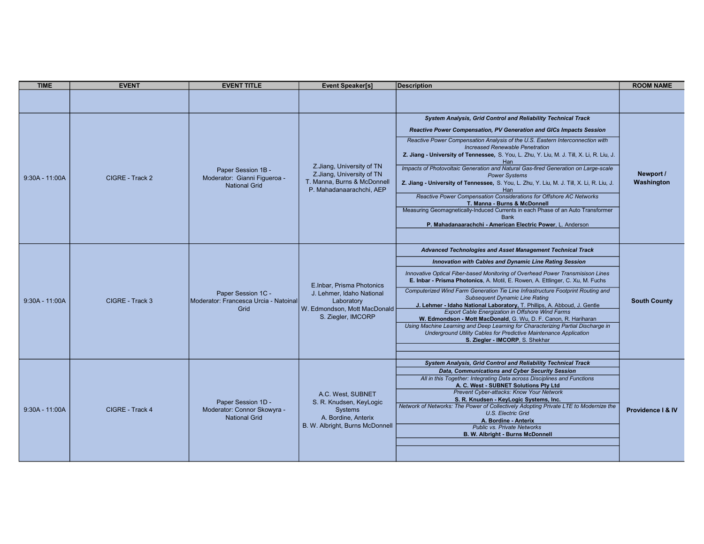| <b>TIME</b>      | <b>EVENT</b>    | <b>EVENT TITLE</b>                                                         | <b>Event Speaker[s]</b>                                                                                                     | <b>Description</b>                                                                                                                                                                                                                                                                                                                                                                                                                                                                                                                                                                                                                                                                                                                                                                                                                                                         | <b>ROOM NAME</b>        |
|------------------|-----------------|----------------------------------------------------------------------------|-----------------------------------------------------------------------------------------------------------------------------|----------------------------------------------------------------------------------------------------------------------------------------------------------------------------------------------------------------------------------------------------------------------------------------------------------------------------------------------------------------------------------------------------------------------------------------------------------------------------------------------------------------------------------------------------------------------------------------------------------------------------------------------------------------------------------------------------------------------------------------------------------------------------------------------------------------------------------------------------------------------------|-------------------------|
|                  |                 |                                                                            |                                                                                                                             |                                                                                                                                                                                                                                                                                                                                                                                                                                                                                                                                                                                                                                                                                                                                                                                                                                                                            |                         |
| $9:30A - 11:00A$ | CIGRE - Track 2 | Paper Session 1B -<br>Moderator: Gianni Figueroa -<br><b>National Grid</b> | Z.Jiang, University of TN<br>Z.Jiang, University of TN<br>T. Manna, Burns & McDonnell<br>P. Mahadanaarachchi, AEP           | <b>System Analysis, Grid Control and Reliability Technical Track</b><br><b>Reactive Power Compensation, PV Generation and GICs Impacts Session</b><br>Reactive Power Compensation Analysis of the U.S. Eastern Interconnection with<br><b>Increased Renewable Penetration</b><br>Z. Jiang - University of Tennessee, S. You, L. Zhu, Y. Liu, M. J. Till, X. Li, R. Liu, J.<br>Han<br>Impacts of Photovoltaic Generation and Natural Gas-fired Generation on Large-scale<br><b>Power Systems</b><br>Z. Jiang - University of Tennessee, S. You, L. Zhu, Y. Liu, M. J. Till, X. Li, R. Liu, J.<br>Han<br>Reactive Power Compensation Considerations for Offshore AC Networks<br>T. Manna - Burns & McDonnell<br>Measuring Geomagnetically-Induced Currents in each Phase of an Auto Transformer<br><b>Bank</b><br>P. Mahadanaarachchi - American Electric Power, L. Anderson | Newport /<br>Washington |
| $9:30A - 11:00A$ | CIGRE - Track 3 | Paper Session 1C -<br>Moderator: Francesca Urcia - Natoinal<br>Grid        | E. Inbar, Prisma Photonics<br>J. Lehmer, Idaho National<br>Laboratory<br>W. Edmondson, Mott MacDonald<br>S. Ziegler, IMCORP | Advanced Technologies and Asset Management Technical Track<br><b>Innovation with Cables and Dynamic Line Rating Session</b><br>Innovative Optical Fiber-based Monitoring of Overhead Power Transmisison Lines<br>E. Inbar - Prisma Photonics, A. Motil, E. Rowen, A. Ettlinger, C. Xu, M. Fuchs<br>Computerized Wind Farm Generation Tie Line Infrastructure Footprint Routing and<br><b>Subsequent Dynamic Line Rating</b><br>J. Lehmer - Idaho National Laboratory, T. Phillips, A. Abboud, J. Gentle<br><b>Export Cable Energization in Offshore Wind Farms</b><br>W. Edmondson - Mott MacDonald, G. Wu, D. F. Canon, R. Hariharan<br>Using Machine Learning and Deep Learning for Characterizing Partial Discharge in<br>Underground Utility Cables for Predictive Maintenance Application<br>S. Ziegler - IMCORP, S. Shekhar                                          | <b>South County</b>     |
| $9:30A - 11:00A$ | CIGRE - Track 4 | Paper Session 1D -<br>Moderator: Connor Skowyra -<br><b>National Grid</b>  | A.C. West, SUBNET<br>S. R. Knudsen, KeyLogic<br><b>Systems</b><br>A. Bordine, Anterix<br>B. W. Albright, Burns McDonnell    | System Analysis, Grid Control and Reliability Technical Track<br>Data, Communications and Cyber Security Session<br>All in this Together: Integrating Data across Disciplines and Functions<br>A. C. West - SUBNET Solutions Pty Ltd<br>Prevent Cyber-attacks: Know Your Network<br>S. R. Knudsen - KeyLogic Systems, Inc.<br>Network of Networks: The Power of Collectively Adopting Private LTE to Modernize the<br>U.S. Electric Grid<br>A. Bordine - Anterix<br><b>Public vs. Private Networks</b><br>B. W. Albright - Burns McDonnell                                                                                                                                                                                                                                                                                                                                 | Providence   & IV       |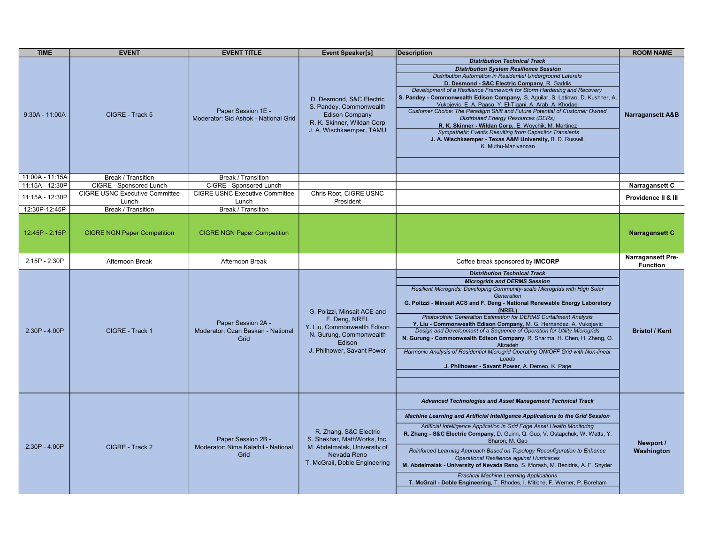| <b>TIME</b>      | <b>EVENT</b>                          | <b>EVENT TITLE</b>                                                | <b>Event Speaker[s]</b>                                                                                                                        | <b>Description</b>                                                                                                                                                                                                                                                                                                                                                                                                                                                                                                                                                                                                                                                                                                                      | <b>ROOM NAME</b>                            |
|------------------|---------------------------------------|-------------------------------------------------------------------|------------------------------------------------------------------------------------------------------------------------------------------------|-----------------------------------------------------------------------------------------------------------------------------------------------------------------------------------------------------------------------------------------------------------------------------------------------------------------------------------------------------------------------------------------------------------------------------------------------------------------------------------------------------------------------------------------------------------------------------------------------------------------------------------------------------------------------------------------------------------------------------------------|---------------------------------------------|
|                  |                                       |                                                                   |                                                                                                                                                | <b>Distribution Technical Track</b>                                                                                                                                                                                                                                                                                                                                                                                                                                                                                                                                                                                                                                                                                                     |                                             |
| $9:30A - 11:00A$ | CIGRE - Track 5                       | Paper Session 1E -<br>Moderator: Sid Ashok - National Grid        | D. Desmond, S&C Electric<br>S. Pandey, Commonwealth<br><b>Edison Company</b><br>R. K. Skinner, Wildan Corp<br>J. A. Wischkaemper, TAMU         | <b>Distribution System Resilience Session</b><br>Distribution Automation in Residential Underground Laterals<br>D. Desmond - S&C Electric Company, R. Gaddis<br>Development of a Resilience Framework for Storm Hardening and Recovery<br>S. Pandey - Commonwealth Edison Company, S. Aguilar, S. Latinwo, D. Kushner, A.<br>Vukojevic, E. A. Paaso, Y. El-Tigani, A. Arab, A. Khodaei<br>Customer Choice: The Paradigm Shift and Future Potential of Customer Owned<br><b>Distirbuted Energy Resources (DERs)</b><br>R. K. Skinner - Wildan Corp., E. Woychik, M. Martinez<br>Sympathetic Events Resulting from Capacitor Transients<br>J. A. Wischkaemper - Texas A&M University, B. D. Russell,<br>K. Muthu-Manivannan               | <b>Narragansett A&amp;B</b>                 |
| 11:00A - 11:15A  | Break / Transition                    | Break / Transition                                                |                                                                                                                                                |                                                                                                                                                                                                                                                                                                                                                                                                                                                                                                                                                                                                                                                                                                                                         |                                             |
| 11:15A - 12:30P  | CIGRE - Sponsored Lunch               | CIGRE - Sponsored Lunch                                           |                                                                                                                                                |                                                                                                                                                                                                                                                                                                                                                                                                                                                                                                                                                                                                                                                                                                                                         | Narragansett C                              |
| 11:15A - 12:30P  | <b>CIGRE USNC Executive Committee</b> | <b>CIGRE USNC Executive Committee</b>                             | Chris Root, CIGRE USNC                                                                                                                         |                                                                                                                                                                                                                                                                                                                                                                                                                                                                                                                                                                                                                                                                                                                                         | Providence II & III                         |
|                  | Lunch                                 | Lunch                                                             | President                                                                                                                                      |                                                                                                                                                                                                                                                                                                                                                                                                                                                                                                                                                                                                                                                                                                                                         |                                             |
| 12:30P-12:45P    | <b>Break / Transition</b>             | Break / Transition                                                |                                                                                                                                                |                                                                                                                                                                                                                                                                                                                                                                                                                                                                                                                                                                                                                                                                                                                                         |                                             |
| 12:45P - 2:15P   | <b>CIGRE NGN Paper Competition</b>    | <b>CIGRE NGN Paper Competition</b>                                |                                                                                                                                                |                                                                                                                                                                                                                                                                                                                                                                                                                                                                                                                                                                                                                                                                                                                                         | <b>Narragansett C</b>                       |
| 2:15P - 2:30P    | Afternoon Break                       | Afternoon Break                                                   |                                                                                                                                                | Coffee break sponsored by IMCORP                                                                                                                                                                                                                                                                                                                                                                                                                                                                                                                                                                                                                                                                                                        | <b>Narragansett Pre-</b><br><b>Function</b> |
| 2:30P - 4:00P    | CIGRE - Track 1                       | Paper Session 2A -<br>Moderator: Ozan Baskan - National<br>Grid   | G. Polizzi, Minsait ACE and<br>F. Deng, NREL<br>Y. Liu, Commonwealth Edison<br>N. Gurung, Commonwealth<br>Edison<br>J. Philhower, Savant Power | <b>Distribution Technical Track</b><br><b>Microgrids and DERMS Session</b><br>Resilient Microgrids: Developing Community-scale Microgrids with High Solar<br>Generation<br>G. Polizzi - Minsait ACS and F. Deng - National Renewable Energy Laboratory<br>(NREL)<br><b>Photovoltaic Generation Estimation for DERMS Curtailment Analysis</b><br>Y. Liu - Commonwealth Edison Company, M. G. Hernandez, A. Vukojevic<br>Design and Development of a Sequence of Operation for Utility Microgrids<br>N. Gurung - Commonwealth Edison Company, R. Sharma, H. Chen, H. Zheng, O.<br>Alizadeh<br>Harmonic Analysis of Residential Microgrid Operating ON/OFF Grid with Non-linear<br>Loads<br>J. Philhower - Savant Power, A. Demeo, K. Page | <b>Bristol / Kent</b>                       |
| 2:30P - 4:00P    | CIGRE - Track 2                       | Paper Session 2B -<br>Moderator: Nima Kalathil - National<br>Grid | R. Zhang, S&C Electric<br>S. Shekhar, MathWorks, Inc.<br>M. Abdelmalak, University of<br>Nevada Reno<br>T. McGrail, Doble Engineering          | Advanced Technologies and Asset Management Technical Track<br>Machine Learning and Artificial Intelligence Applications to the Grid Session<br>Artificial Intelligence Application in Grid Edge Asset Health Monitoring<br>R. Zhang - S&C Electric Company, D. Guinn, Q. Guo, V. Ostapchuk, W. Watts, Y.<br>Sharon, M. Gao<br>Reinforced Learning Approach Based on Topology Reconfiguration to Enhance<br><b>Operational Resilience against Hurricanes</b><br>M. Abdelmalak - University of Nevada Reno, S. Morash, M. Benidris, A. F. Snyder<br><b>Practical Machine Learning Applications</b><br>T. McGrail - Doble Engineering, T. Rhodes, I. Mitiche, F. Werner, P. Boreham                                                        | Newport /<br>Washington                     |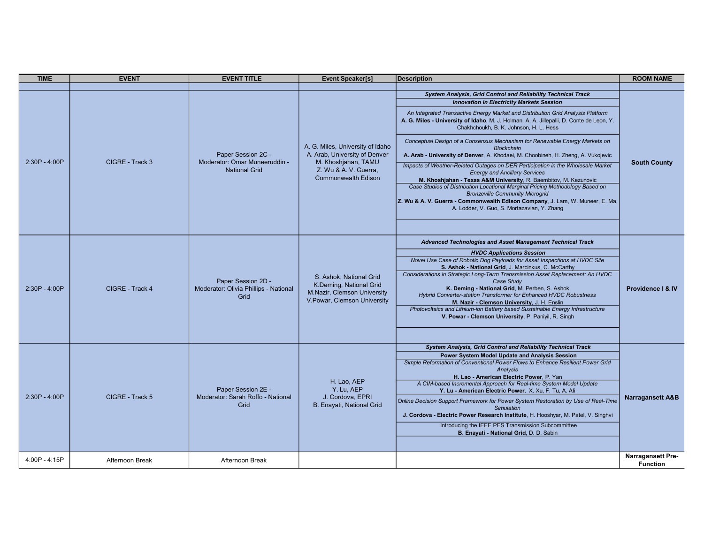| <b>TIME</b>     | <b>EVENT</b>    | <b>EVENT TITLE</b>                                                   | <b>Event Speaker[s]</b>                                                                                                                  | <b>Description</b>                                                                                                                                                                                                                                                                                                                                                                                                                                                                                                                                                                                                                                                                                                                                                                                                                                                                                                                                                                                | <b>ROOM NAME</b>                            |
|-----------------|-----------------|----------------------------------------------------------------------|------------------------------------------------------------------------------------------------------------------------------------------|---------------------------------------------------------------------------------------------------------------------------------------------------------------------------------------------------------------------------------------------------------------------------------------------------------------------------------------------------------------------------------------------------------------------------------------------------------------------------------------------------------------------------------------------------------------------------------------------------------------------------------------------------------------------------------------------------------------------------------------------------------------------------------------------------------------------------------------------------------------------------------------------------------------------------------------------------------------------------------------------------|---------------------------------------------|
| 2:30P - 4:00P   | CIGRE - Track 3 | Paper Session 2C -<br>Moderator: Omar Muneeruddin -<br>National Grid | A. G. Miles, University of Idaho<br>A. Arab, University of Denver<br>M. Khoshjahan, TAMU<br>Z. Wu & A. V. Guerra.<br>Commonwealth Edison | <b>System Analysis, Grid Control and Reliability Technical Track</b><br><b>Innovation in Electricity Markets Session</b><br>An Integrated Transactive Energy Market and Distribution Grid Analysis Platform<br>A. G. Miles - University of Idaho, M. J. Holman, A. A. Jillepalli, D. Conte de Leon, Y.<br>Chakhchoukh, B. K. Johnson, H. L. Hess<br>Conceptual Design of a Consensus Mechanism for Renewable Energy Markets on<br><b>Blockchain</b><br>A. Arab - University of Denver, A. Khodaei, M. Choobineh, H. Zheng, A. Vukojevic<br>Impacts of Weather-Related Outages on DER Participation in the Wholesale Market<br><b>Energy and Ancillary Services</b><br>M. Khoshjahan - Texas A&M University, R. Baembitov, M. Kezunovic<br>Case Studies of Distribution Locational Marginal Pricing Methodology Based on<br><b>Bronzeville Community Microgrid</b><br>Z. Wu & A. V. Guerra - Commonwealth Edison Company, J. Lam, W. Muneer, E. Ma,<br>A. Lodder, V. Guo, S. Mortazavian, Y. Zhang | <b>South County</b>                         |
| $2:30P - 4:00P$ | CIGRE - Track 4 | Paper Session 2D -<br>Moderator: Olivia Phillips - National<br>Grid  | S. Ashok, National Grid<br>K.Deming, National Grid<br>M.Nazir, Clemson University<br>V. Powar, Clemson University                        | Advanced Technologies and Asset Management Technical Track<br><b>HVDC Applications Session</b><br>Novel Use Case of Robotic Dog Payloads for Asset Inspections at HVDC Site<br>S. Ashok - National Grid, J. Marcinkus, C. McCarthy<br>Considerations in Strategic Long-Term Transmission Asset Replacement: An HVDC<br>Case Study<br>K. Deming - National Grid, M. Perben, S. Ashok<br>Hybrid Converter-station Transformer for Enhanced HVDC Robustness<br>M. Nazir - Clemson University, J. H. Enslin<br>Photovoltaics and Lithium-ion Battery based Sustainable Energy Infrastructure<br>V. Powar - Clemson University, P. Paniyil, R. Singh                                                                                                                                                                                                                                                                                                                                                   | Providence   & IV                           |
| 2:30P - 4:00P   | CIGRE - Track 5 | Paper Session 2E -<br>Moderator: Sarah Roffo - National<br>Grid      | H. Lao, AEP<br>Y. Lu. AEP<br>J. Cordova, EPRI<br>B. Enayati, National Grid                                                               | System Analysis, Grid Control and Reliability Technical Track<br>Power System Model Update and Analysis Session<br>Simple Reformation of Conventional Power Flows to Enhance Resilient Power Grid<br>Analysis<br>H. Lao - American Electric Power, P. Yan<br>A CIM-based Incremental Approach for Real-time System Model Update<br>Y. Lu - American Electric Power, X. Xu, F. Tu, A. Ali<br>Online Decision Support Framework for Power System Restoration by Use of Real-Time<br><b>Simulation</b><br>J. Cordova - Electric Power Research Institute, H. Hooshyar, M. Patel, V. Singhvi<br>Introducing the IEEE PES Transmission Subcommittee<br>B. Enayati - National Grid, D. D. Sabin                                                                                                                                                                                                                                                                                                         | <b>Narragansett A&amp;B</b>                 |
| 4:00P - 4:15P   | Afternoon Break | Afternoon Break                                                      |                                                                                                                                          |                                                                                                                                                                                                                                                                                                                                                                                                                                                                                                                                                                                                                                                                                                                                                                                                                                                                                                                                                                                                   | <b>Narragansett Pre-</b><br><b>Function</b> |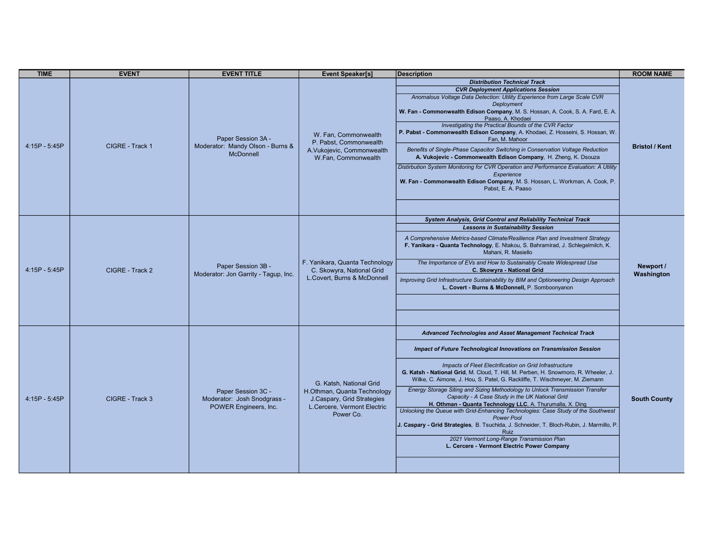| <b>TIME</b>   | <b>EVENT</b>    | <b>EVENT TITLE</b>                                                         | <b>Event Speaker[s]</b>                                                                                                          | <b>Description</b>                                                                                                                                                                                                                                                                                                                                                                                                                                                                                                                                                                                                                                                                                                                                                                                                                                                          | <b>ROOM NAME</b>        |
|---------------|-----------------|----------------------------------------------------------------------------|----------------------------------------------------------------------------------------------------------------------------------|-----------------------------------------------------------------------------------------------------------------------------------------------------------------------------------------------------------------------------------------------------------------------------------------------------------------------------------------------------------------------------------------------------------------------------------------------------------------------------------------------------------------------------------------------------------------------------------------------------------------------------------------------------------------------------------------------------------------------------------------------------------------------------------------------------------------------------------------------------------------------------|-------------------------|
| 4:15P - 5:45P | CIGRE - Track 1 | Paper Session 3A -<br>Moderator: Mandy Olson - Burns &<br><b>McDonnell</b> | W. Fan, Commonwealth<br>P. Pabst, Commonwealth<br>A.Vukojevic, Commonwealth<br>W.Fan, Commonwealth                               | <b>Distribution Technical Track</b><br><b>CVR Deployment Applications Session</b><br>Anomalous Voltage Data Detection: Utility Experience from Large Scale CVR<br>Deployment<br>W. Fan - Commonwealth Edison Company, M. S. Hossan, A. Cook, S. A. Fard, E. A.<br>Paaso, A. Khodaei<br>Investigating the Practical Bounds of the CVR Factor<br>P. Pabst - Commonwealth Edison Company, A. Khodaei, Z. Hosseini, S. Hossan, W.<br>Fan. M. Mahoor<br>Benefits of Single-Phase Capacitor Switching in Conservation Voltage Reduction<br>A. Vukojevic - Commonwealth Edison Company, H. Zheng, K. Dsouza<br>Distirbution System Monitoring for CVR Operation and Performance Evaluation: A Utility<br>Experience<br>W. Fan - Commonwealth Edison Company, M. S. Hossan, L. Workman, A. Cook, P.<br>Pabst, E. A. Paaso                                                           | <b>Bristol / Kent</b>   |
| 4:15P - 5:45P | CIGRE - Track 2 | Paper Session 3B -<br>Moderator: Jon Garrity - Tagup, Inc.                 | F. Yanikara, Quanta Technology<br>C. Skowyra, National Grid<br>L.Covert, Burns & McDonnell                                       | System Analysis, Grid Control and Reliability Technical Track<br><b>Lessons in Sustainability Session</b><br>A Comprehensive Metrics-based Climate/Resilience Plan and Investment Strategy<br>F. Yanikara - Quanta Technology, E. Ntakou, S. Bahramirad, J. Schlegelmilch, K.<br>Mahani, R. Masiello<br>The Importance of EVs and How to Sustainably Create Widespread Use<br>C. Skowyra - National Grid<br>Improving Grid Infrastructure Sustainability by BIM and Optioneering Design Approach<br>L. Covert - Burns & McDonnell, P. Somboonyanon                                                                                                                                                                                                                                                                                                                          | Newport /<br>Washington |
| 4:15P - 5:45P | CIGRE - Track 3 | Paper Session 3C -<br>Moderator: Josh Snodgrass -<br>POWER Engineers, Inc. | G. Katsh, National Grid<br>H.Othman, Quanta Technology<br>J.Caspary, Grid Strategies<br>L.Cercere, Vermont Electric<br>Power Co. | Advanced Technologies and Asset Management Technical Track<br>Impact of Future Technological Innovations on Transmission Session<br>Impacts of Fleet Electrification on Grid Infrastructure<br>G. Katsh - National Grid, M. Cloud, T. Hill, M. Perben, H. Snowmoro, R. Wheeler, J.<br>Wilke, C. Aimone, J. Hou, S. Patel, G. Rackliffe, T. Wischmeyer, M. Ziemann<br>Energy Storage Siting and Sizing Methodology to Unlock Transmission Transfer<br>Capacity - A Case Study in the UK National Grid<br>H. Othman - Quanta Technology LLC, A. Thurumalla, X. Ding<br>Unlocking the Queue with Grid-Enhancing Technologies: Case Study of the Southwest<br><b>Power Pool</b><br>J. Caspary - Grid Strategies, B. Tsuchida, J. Schneider, T. Bloch-Rubin, J. Marmillo, P.<br>Ruiz<br>2021 Vermont Long-Range Transmission Plan<br>L. Cercere - Vermont Electric Power Company | <b>South County</b>     |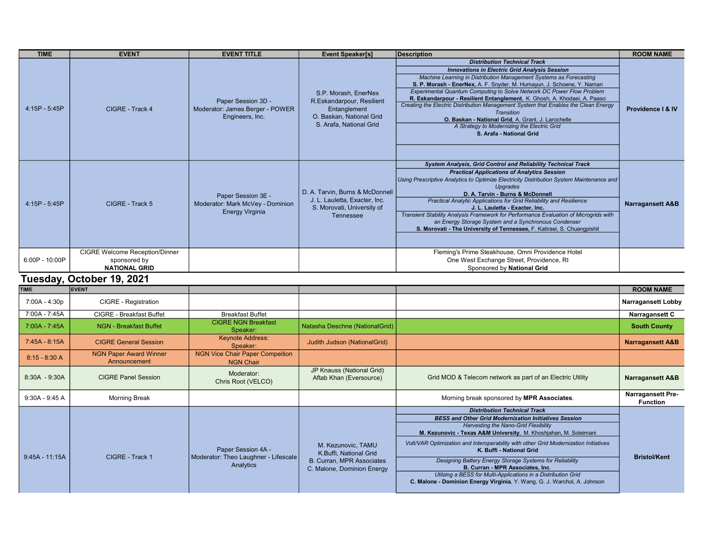| <b>TIME</b>     | <b>EVENT</b>                                                                  | <b>EVENT TITLE</b>                                                               | <b>Event Speaker[s]</b>                                                                                                  | <b>Description</b>                                                                                                                                                                                                                                                                                                                                                                                                                                                                                                                                                                                                                           | <b>ROOM NAME</b>            |
|-----------------|-------------------------------------------------------------------------------|----------------------------------------------------------------------------------|--------------------------------------------------------------------------------------------------------------------------|----------------------------------------------------------------------------------------------------------------------------------------------------------------------------------------------------------------------------------------------------------------------------------------------------------------------------------------------------------------------------------------------------------------------------------------------------------------------------------------------------------------------------------------------------------------------------------------------------------------------------------------------|-----------------------------|
| 4:15P - 5:45P   | CIGRE - Track 4                                                               | Paper Session 3D -<br>Moderator: James Berger - POWER<br>Engineers, Inc.         | S.P. Morash, EnerNex<br>R.Eskandarpour, Resilient<br>Entanglement<br>O. Baskan, National Grid<br>S. Arafa. National Grid | <b>Distribution Technical Track</b><br><b>Innovations in Electric Grid Analysis Session</b><br>Machine Learning in Distribution Management Systems as Forecasting<br>S. P. Morash - EnerNex, A. F. Snyder, M. Humayun, J. Schoene, Y. Naman<br>Experimental Quantum Computing to Solve Network DC Power Flow Problem<br>R. Eskandarpour - Resilient Entanglement, K. Ghosh, A. Khodaei, A. Paaso<br>Creating the Electric Distribution Management System that Enables the Clean Energy<br><b>Transition</b><br>O. Baskan - National Grid, A. Grant, J. Larochelle<br>A Strategy to Modernizing the Electric Grid<br>S. Arafa - National Grid | Providence   & IV           |
| 4:15P - 5:45P   | CIGRE - Track 5                                                               | Paper Session 3E -<br>Moderator: Mark McVey - Dominion<br><b>Energy Virginia</b> | D. A. Tarvin, Burns & McDonnell<br>J. L. Lauletta, Exacter, Inc.<br>S. Morovati, University of<br><b>Tennessee</b>       | System Analysis, Grid Control and Reliability Technical Track<br><b>Practical Applications of Analytics Session</b><br>Using Prescriptive Analytics to Optimize Electricity Distribution System Maintenance and<br><b>Upgrades</b><br>D. A. Tarvin - Burns & McDonnell<br>Practical Analytic Applications for Grid Reliability and Resilience<br>J. L. Lauletta - Exacter, Inc.<br>Transient Stability Analysis Framework for Performance Evaluation of Microgrids with<br>an Energy Storage System and a Synchronous Condenser<br>S. Morovati - The University of Tennessee, F. Katiraei, S. Chuangpishit                                   | <b>Narragansett A&amp;B</b> |
| 6:00P - 10:00P  | <b>CIGRE Welcome Reception/Dinner</b><br>sponsored by<br><b>NATIONAL GRID</b> |                                                                                  |                                                                                                                          | Fleming's Prime Steakhouse, Omni Providence Hotel<br>One West Exchange Street, Providence, RI<br>Sponsored by National Grid                                                                                                                                                                                                                                                                                                                                                                                                                                                                                                                  |                             |
|                 | Tuesday, October 19, 2021                                                     |                                                                                  |                                                                                                                          |                                                                                                                                                                                                                                                                                                                                                                                                                                                                                                                                                                                                                                              |                             |
| <b>TIME</b>     | <b>EVENT</b>                                                                  |                                                                                  |                                                                                                                          |                                                                                                                                                                                                                                                                                                                                                                                                                                                                                                                                                                                                                                              | <b>ROOM NAME</b>            |
| 7:00A - 4:30p   | <b>CIGRE - Registration</b>                                                   |                                                                                  |                                                                                                                          |                                                                                                                                                                                                                                                                                                                                                                                                                                                                                                                                                                                                                                              | <b>Narragansett Lobby</b>   |
| 7:00A - 7:45A   | <b>CIGRE - Breakfast Buffet</b>                                               | <b>Breakfast Buffet</b>                                                          |                                                                                                                          |                                                                                                                                                                                                                                                                                                                                                                                                                                                                                                                                                                                                                                              | Narragansett C              |
| 7:00A - 7:45A   | <b>NGN - Breakfast Buffet</b>                                                 | <b>CIGRE NGN Breakfast</b><br>Speaker:                                           | Natasha Deschne (NationalGrid)                                                                                           |                                                                                                                                                                                                                                                                                                                                                                                                                                                                                                                                                                                                                                              | <b>South County</b>         |
| 7:45A - 8:15A   | <b>CIGRE General Session</b>                                                  | <b>Keynote Address:</b><br>Speaker:                                              | Judith Judson (NationalGrid)                                                                                             |                                                                                                                                                                                                                                                                                                                                                                                                                                                                                                                                                                                                                                              | <b>Narragansett A&amp;B</b> |
| $8:15 - 8:30 A$ | <b>NGN Paper Award Winner</b><br>Announcement                                 | <b>NGN Vice Chair Paper Compeition</b><br><b>NGN Chair</b>                       | ID Knouge (National Crid)                                                                                                |                                                                                                                                                                                                                                                                                                                                                                                                                                                                                                                                                                                                                                              |                             |

|                  | Announcement               | <b>NGN Chair</b>                                  |                                                         |                                                                                                                  |                                             |
|------------------|----------------------------|---------------------------------------------------|---------------------------------------------------------|------------------------------------------------------------------------------------------------------------------|---------------------------------------------|
| $8:30A - 9:30A$  | <b>CIGRE Panel Session</b> | Moderator:<br>Chris Root (VELCO)                  | JP Knauss (National Grid)<br>Aftab Khan (Eversource)    | Grid MOD & Telecom network as part of an Electric Utility                                                        | <b>Narragansett A&amp;B</b>                 |
| 9:30A - 9:45 A   | <b>Morning Break</b>       |                                                   |                                                         | Morning break sponsored by MPR Associates.                                                                       | <b>Narragansett Pre-</b><br><b>Function</b> |
|                  |                            |                                                   |                                                         | <b>Distribution Technical Track</b>                                                                              |                                             |
|                  |                            |                                                   |                                                         | <b>BESS and Other Grid Modernization Initiatives Session</b>                                                     |                                             |
|                  |                            |                                                   |                                                         | <b>Harvesting the Nano-Grid Flexibility</b>                                                                      |                                             |
|                  |                            |                                                   |                                                         | M. Kezunovic - Texas A&M University, M. Khoshjahan, M. Soleimani                                                 |                                             |
|                  |                            | Paper Session 4A -                                | M. Kezunovic, TAMU<br>K.Buffi, National Grid            | Volt/VAR Optimization and Interoperability with other Grid Modernization Initiatives<br>K. Buffi - National Grid |                                             |
| $9:45A - 11:15A$ | CIGRE - Track 1            | Moderator: Theo Laughner - Lifescale<br>Analytics | B. Curran, MPR Associates<br>C. Malone, Dominion Energy | Designing Battery Energy Storage Systems for Reliability<br><b>B. Curran - MPR Associates, Inc.</b>              | <b>Bristol/Kent</b>                         |
|                  |                            |                                                   |                                                         | Utilzing a BESS for Multi-Applications in a Distribution Grid                                                    |                                             |
|                  |                            |                                                   |                                                         | C. Malone - Dominion Energy Virginia, Y. Wang, G. J. Warchol, A. Johnson                                         |                                             |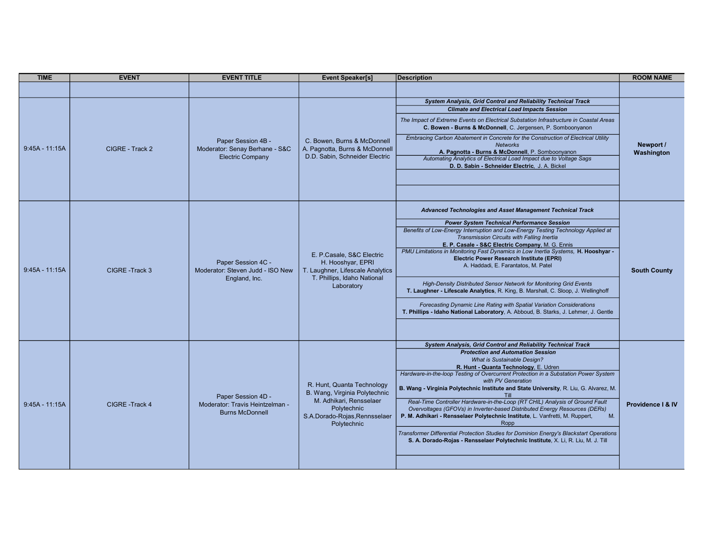| <b>TIME</b>      | <b>EVENT</b>    | <b>EVENT TITLE</b>                                                              | <b>Event Speaker[s]</b>                                                                                                                               | <b>Description</b>                                                                                                                                                                                                                                                                                                                                                                                                                                                                                                                                                                                                                                                                                                                                                                                                                        | <b>ROOM NAME</b>        |
|------------------|-----------------|---------------------------------------------------------------------------------|-------------------------------------------------------------------------------------------------------------------------------------------------------|-------------------------------------------------------------------------------------------------------------------------------------------------------------------------------------------------------------------------------------------------------------------------------------------------------------------------------------------------------------------------------------------------------------------------------------------------------------------------------------------------------------------------------------------------------------------------------------------------------------------------------------------------------------------------------------------------------------------------------------------------------------------------------------------------------------------------------------------|-------------------------|
|                  |                 |                                                                                 |                                                                                                                                                       |                                                                                                                                                                                                                                                                                                                                                                                                                                                                                                                                                                                                                                                                                                                                                                                                                                           |                         |
| 9:45A - 11:15A   | CIGRE - Track 2 | Paper Session 4B -<br>Moderator: Senay Berhane - S&C<br><b>Electric Company</b> | C. Bowen, Burns & McDonnell<br>A. Pagnotta, Burns & McDonnell<br>D.D. Sabin, Schneider Electric                                                       | <b>System Analysis, Grid Control and Reliability Technical Track</b><br><b>Climate and Electrical Load Impacts Session</b><br>The Impact of Extreme Events on Electrical Substation Infrastructure in Coastal Areas<br>C. Bowen - Burns & McDonnell, C. Jergensen, P. Somboonyanon<br>Embracing Carbon Abatement in Concrete for the Construction of Electrical Utility<br><b>Networks</b><br>A. Pagnotta - Burns & McDonnell, P. Somboonyanon<br>Automating Analytics of Electrical Load Impact due to Voltage Sags<br>D. D. Sabin - Schneider Electric. J. A. Bickel                                                                                                                                                                                                                                                                    | Newport /<br>Washington |
| $9:45A - 11:15A$ | CIGRE-Track 3   | Paper Session 4C -<br>Moderator: Steven Judd - ISO New<br>England, Inc.         | E. P.Casale, S&C Electric<br>H. Hooshyar, EPRI<br>T. Laughner, Lifescale Analytics<br>T. Phillips, Idaho National<br>Laboratory                       | Advanced Technologies and Asset Management Technical Track<br><b>Power System Technical Performance Session</b><br>Benefits of Low-Energy Interruption and Low-Energy Testing Technology Applied at<br>Transmission Circuits with Falling Inertia<br>E. P. Casale - S&C Electric Company, M. G. Ennis<br>PMU Limitations in Monitoring Fast Dynamics in Low Inertia Systems, H. Hooshyar -<br>Electric Power Research Institute (EPRI)<br>A. Haddadi, E. Farantatos, M. Patel<br>High-Density Distributed Sensor Network for Monitoring Grid Events<br>T. Laughner - Lifescale Analytics, R. King, B. Marshall, C. Sloop, J. Wellinghoff<br>Forecasting Dynamic Line Rating with Spatial Variation Considerations<br>T. Phillips - Idaho National Laboratory, A. Abboud, B. Starks, J. Lehmer, J. Gentle                                  | <b>South County</b>     |
| $9:45A - 11:15A$ | CIGRE - Track 4 | Paper Session 4D -<br>Moderator: Travis Heintzelman -<br><b>Burns McDonnell</b> | R. Hunt, Quanta Technology<br>B. Wang, Virginia Polytechnic<br>M. Adhikari, Rensselaer<br>Polytechnic<br>S.A.Dorado-Rojas, Rennsselaer<br>Polytechnic | System Analysis, Grid Control and Reliability Technical Track<br><b>Protection and Automation Session</b><br><b>What is Sustainable Design?</b><br>R. Hunt - Quanta Technology, E. Udren<br>Hardware-in-the-loop Testing of Overcurrent Protection in a Substation Power System<br>with PV Generation<br>B. Wang - Virginia Polytechnic Institute and State University, R. Liu, G. Alvarez, M.<br>Real-Time Controller Hardware-in-the-Loop (RT CHIL) Analysis of Ground Fault<br>Overvoltages (GFOVs) in Inverter-based Distributed Energy Resources (DERs)<br>P. M. Adhikari - Rensselaer Polytechnic Institute, L. Vanfretti, M. Ruppert,<br>M.<br>Ropp<br>Transformer Differential Protection Studies for Dominion Energy's Blackstart Operations<br>S. A. Dorado-Rojas - Rensselaer Polytechnic Institute, X. Li, R. Liu, M. J. Till | Providence   & IV       |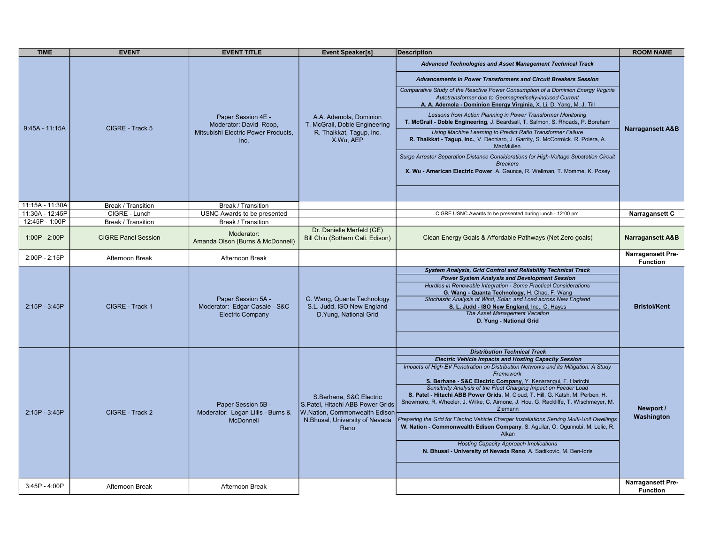| <b>TIME</b>      | <b>EVENT</b>               | <b>EVENT TITLE</b>                                                             | <b>Event Speaker[s]</b>                                                                                                                | <b>Description</b>                                                                                                                                                                                                                                                                                                                                                                                                                                                                                                                                                                                                                                                                                                                                                                                                                             | <b>ROOM NAME</b>                            |
|------------------|----------------------------|--------------------------------------------------------------------------------|----------------------------------------------------------------------------------------------------------------------------------------|------------------------------------------------------------------------------------------------------------------------------------------------------------------------------------------------------------------------------------------------------------------------------------------------------------------------------------------------------------------------------------------------------------------------------------------------------------------------------------------------------------------------------------------------------------------------------------------------------------------------------------------------------------------------------------------------------------------------------------------------------------------------------------------------------------------------------------------------|---------------------------------------------|
|                  |                            |                                                                                |                                                                                                                                        | Advanced Technologies and Asset Management Technical Track                                                                                                                                                                                                                                                                                                                                                                                                                                                                                                                                                                                                                                                                                                                                                                                     |                                             |
|                  |                            |                                                                                |                                                                                                                                        | Advancements in Power Transformers and Circuit Breakers Session<br>Comparative Study of the Reactive Power Consumption of a Dominion Energy Virginia<br>Autotransformer due to Geomagnetically-induced Current<br>A. A. Ademola - Dominion Energy Virginia, X. Li, D. Yang, M. J. Till                                                                                                                                                                                                                                                                                                                                                                                                                                                                                                                                                         |                                             |
|                  |                            | Paper Session 4E -<br>Moderator: David Roop,                                   | A.A. Ademola, Dominion<br>T. McGrail, Doble Engineering                                                                                | Lessons from Action Planning in Power Transformer Monitoring<br>T. McGrail - Doble Engineering, J. Beardsall, T. Salmon, S. Rhoads, P. Boreham                                                                                                                                                                                                                                                                                                                                                                                                                                                                                                                                                                                                                                                                                                 |                                             |
| $9:45A - 11:15A$ | CIGRE - Track 5            | Mitsubishi Electric Power Products,<br>Inc.                                    | R. Thaikkat, Tagup, Inc.<br>X.Wu, AEP                                                                                                  | Using Machine Learning to Predict Ratio Transformer Failure<br>R. Thaikkat - Tagup, Inc., V. Dechiaro, J. Garrity, S. McCormick, R. Polera, A.<br><b>MacMullen</b>                                                                                                                                                                                                                                                                                                                                                                                                                                                                                                                                                                                                                                                                             | <b>Narragansett A&amp;B</b>                 |
|                  |                            |                                                                                |                                                                                                                                        | Surge Arrester Separation Distance Considerations for High-Voltage Substation Circuit<br><b>Breakers</b><br>X. Wu - American Electric Power, A. Gaunce, R. Wellman, T. Momme, K. Posey                                                                                                                                                                                                                                                                                                                                                                                                                                                                                                                                                                                                                                                         |                                             |
| 11:15A - 11:30A  | <b>Break / Transition</b>  | Break / Transition                                                             |                                                                                                                                        |                                                                                                                                                                                                                                                                                                                                                                                                                                                                                                                                                                                                                                                                                                                                                                                                                                                |                                             |
| 11:30A - 12:45P  | CIGRE - Lunch              | USNC Awards to be presented                                                    |                                                                                                                                        | CIGRE USNC Awards to be presented during lunch - 12:00 pm.                                                                                                                                                                                                                                                                                                                                                                                                                                                                                                                                                                                                                                                                                                                                                                                     | Narragansett C                              |
| 12:45P - 1:00P   | <b>Break / Transition</b>  | Break / Transition                                                             |                                                                                                                                        |                                                                                                                                                                                                                                                                                                                                                                                                                                                                                                                                                                                                                                                                                                                                                                                                                                                |                                             |
| 1:00P - 2:00P    | <b>CIGRE Panel Session</b> | Moderator:<br>Amanda Olson (Burns & McDonnell)                                 | Dr. Danielle Merfeld (GE)<br>Bill Chiu (Sothern Cali. Edison)                                                                          | Clean Energy Goals & Affordable Pathways (Net Zero goals)                                                                                                                                                                                                                                                                                                                                                                                                                                                                                                                                                                                                                                                                                                                                                                                      | <b>Narragansett A&amp;B</b>                 |
| 2:00P - 2:15P    | Afternoon Break            | Afternoon Break                                                                |                                                                                                                                        |                                                                                                                                                                                                                                                                                                                                                                                                                                                                                                                                                                                                                                                                                                                                                                                                                                                | <b>Narragansett Pre-</b><br><b>Function</b> |
| 2:15P - 3:45P    | CIGRE - Track 1            | Paper Session 5A -<br>Moderator: Edgar Casale - S&C<br><b>Electric Company</b> | G. Wang, Quanta Technology<br>S.L. Judd, ISO New England<br>D. Yung, National Grid                                                     | <b>System Analysis, Grid Control and Reliability Technical Track</b><br><b>Power System Analysis and Development Session</b><br>Hurdles in Renewable Integration - Some Practical Considerations<br>G. Wang - Quanta Technology, H. Chao, F. Wang<br>Stochastic Analysis of Wind, Solar, and Load across New England<br>S. L. Judd - ISO New England, Inc., C. Hayes<br>The Asset Management Vacation<br>D. Yung - National Grid                                                                                                                                                                                                                                                                                                                                                                                                               | <b>Bristol/Kent</b>                         |
| 2:15P - 3:45P    | CIGRE - Track 2            | Paper Session 5B -<br>Moderator: Logan Lillis - Burns &<br><b>McDonnell</b>    | S.Berhane, S&C Electric<br>S.Patel, Hitachi ABB Power Grids<br>W.Nation, Commonwealth Edison<br>N.Bhusal, University of Nevada<br>Reno | <b>Distribution Technical Track</b><br><b>Electric Vehicle Impacts and Hosting Capacity Session</b><br>Impacts of High EV Penetration on Distribution Networks and its Mitigation: A Study<br>Framework<br>S. Berhane - S&C Electric Company, Y. Kenarangui, F. Harirchi<br>Sensitivity Analysis of the Fleet Charging Impact on Feeder Load<br>S. Patel - Hitachi ABB Power Grids, M. Cloud, T. Hill, G. Katsh, M. Perben, H.<br>Snowmoro, R. Wheeler, J. Wilke, C. Aimone, J. Hou, G. Rackliffe, T. Wischmeyer, M.<br>Ziemann<br>Preparing the Grid for Electric Vehicle Charger Installations Serving Multi-Unit Dwellings<br>W. Nation - Commonwealth Edison Company, S. Aguilar, O. Ogunnubi, M. Lelic, R.<br>Alkan<br><b>Hosting Capacity Approach Implications</b><br>N. Bhusal - University of Nevada Reno, A. Sadikovic, M. Ben-Idris | Newport /<br>Washington                     |
| 3:45P - 4:00P    | Afternoon Break            | Afternoon Break                                                                |                                                                                                                                        |                                                                                                                                                                                                                                                                                                                                                                                                                                                                                                                                                                                                                                                                                                                                                                                                                                                | <b>Narragansett Pre-</b><br><b>Function</b> |